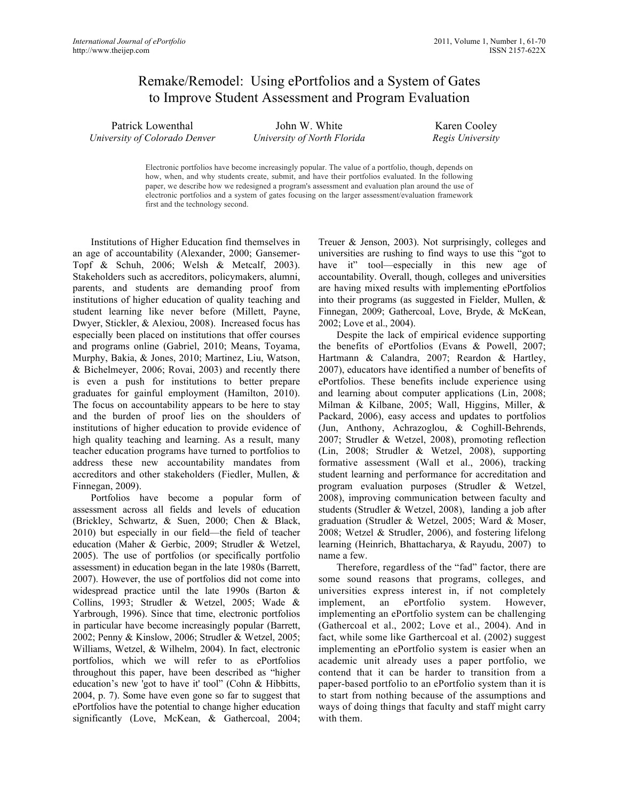# Remake/Remodel: Using ePortfolios and a System of Gates to Improve Student Assessment and Program Evaluation

| Patrick Lowenthal             | John '        |
|-------------------------------|---------------|
| University of Colorado Denver | University of |

W. White *University of North Florida*

Karen Cooley *Regis University*

Electronic portfolios have become increasingly popular. The value of a portfolio, though, depends on how, when, and why students create, submit, and have their portfolios evaluated. In the following paper, we describe how we redesigned a program's assessment and evaluation plan around the use of electronic portfolios and a system of gates focusing on the larger assessment/evaluation framework first and the technology second.

Institutions of Higher Education find themselves in an age of accountability (Alexander, 2000; Gansemer-Topf & Schuh, 2006; Welsh & Metcalf, 2003). Stakeholders such as accreditors, policymakers, alumni, parents, and students are demanding proof from institutions of higher education of quality teaching and student learning like never before (Millett, Payne, Dwyer, Stickler, & Alexiou, 2008). Increased focus has especially been placed on institutions that offer courses and programs online (Gabriel, 2010; Means, Toyama, Murphy, Bakia, & Jones, 2010; Martinez, Liu, Watson, & Bichelmeyer, 2006; Rovai, 2003) and recently there is even a push for institutions to better prepare graduates for gainful employment (Hamilton, 2010). The focus on accountability appears to be here to stay and the burden of proof lies on the shoulders of institutions of higher education to provide evidence of high quality teaching and learning. As a result, many teacher education programs have turned to portfolios to address these new accountability mandates from accreditors and other stakeholders (Fiedler, Mullen, & Finnegan, 2009).

Portfolios have become a popular form of assessment across all fields and levels of education (Brickley, Schwartz, & Suen, 2000; Chen & Black, 2010) but especially in our field—the field of teacher education (Maher & Gerbic, 2009; Strudler & Wetzel, 2005). The use of portfolios (or specifically portfolio assessment) in education began in the late 1980s (Barrett, 2007). However, the use of portfolios did not come into widespread practice until the late 1990s (Barton & Collins, 1993; Strudler & Wetzel, 2005; Wade & Yarbrough, 1996). Since that time, electronic portfolios in particular have become increasingly popular (Barrett, 2002; Penny & Kinslow, 2006; Strudler & Wetzel, 2005; Williams, Wetzel, & Wilhelm, 2004). In fact, electronic portfolios, which we will refer to as ePortfolios throughout this paper, have been described as "higher education's new 'got to have it' tool" (Cohn & Hibbitts, 2004, p. 7). Some have even gone so far to suggest that ePortfolios have the potential to change higher education significantly (Love, McKean, & Gathercoal, 2004;

Treuer & Jenson, 2003). Not surprisingly, colleges and universities are rushing to find ways to use this "got to have it" tool—especially in this new age of accountability. Overall, though, colleges and universities are having mixed results with implementing ePortfolios into their programs (as suggested in Fielder, Mullen, & Finnegan, 2009; Gathercoal, Love, Bryde, & McKean, 2002; Love et al., 2004).

Despite the lack of empirical evidence supporting the benefits of ePortfolios (Evans & Powell, 2007; Hartmann & Calandra, 2007; Reardon & Hartley, 2007), educators have identified a number of benefits of ePortfolios. These benefits include experience using and learning about computer applications (Lin, 2008; Milman & Kilbane, 2005; Wall, Higgins, Miller, & Packard, 2006), easy access and updates to portfolios (Jun, Anthony, Achrazoglou, & Coghill-Behrends, 2007; Strudler & Wetzel, 2008), promoting reflection (Lin, 2008; Strudler & Wetzel, 2008), supporting formative assessment (Wall et al., 2006), tracking student learning and performance for accreditation and program evaluation purposes (Strudler & Wetzel, 2008), improving communication between faculty and students (Strudler & Wetzel, 2008), landing a job after graduation (Strudler & Wetzel, 2005; Ward & Moser, 2008; Wetzel & Strudler, 2006), and fostering lifelong learning (Heinrich, Bhattacharya, & Rayudu, 2007) to name a few.

Therefore, regardless of the "fad" factor, there are some sound reasons that programs, colleges, and universities express interest in, if not completely implement, an ePortfolio system. However, implementing an ePortfolio system can be challenging (Gathercoal et al., 2002; Love et al., 2004). And in fact, while some like Garthercoal et al. (2002) suggest implementing an ePortfolio system is easier when an academic unit already uses a paper portfolio, we contend that it can be harder to transition from a paper-based portfolio to an ePortfolio system than it is to start from nothing because of the assumptions and ways of doing things that faculty and staff might carry with them.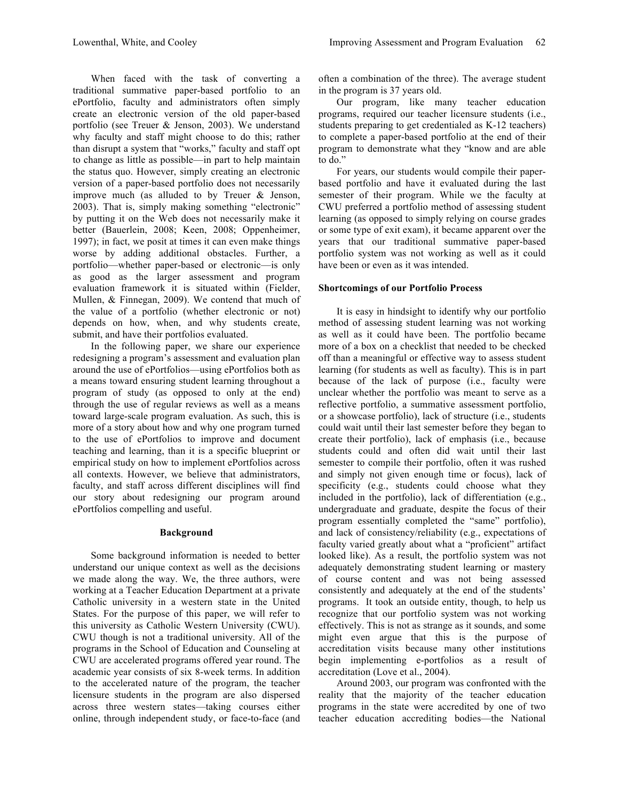When faced with the task of converting a traditional summative paper-based portfolio to an ePortfolio, faculty and administrators often simply create an electronic version of the old paper-based portfolio (see Treuer & Jenson, 2003). We understand why faculty and staff might choose to do this; rather than disrupt a system that "works," faculty and staff opt to change as little as possible—in part to help maintain the status quo. However, simply creating an electronic version of a paper-based portfolio does not necessarily improve much (as alluded to by Treuer & Jenson, 2003). That is, simply making something "electronic" by putting it on the Web does not necessarily make it better (Bauerlein, 2008; Keen, 2008; Oppenheimer, 1997); in fact, we posit at times it can even make things worse by adding additional obstacles. Further, a portfolio—whether paper-based or electronic—is only as good as the larger assessment and program evaluation framework it is situated within (Fielder, Mullen, & Finnegan, 2009). We contend that much of the value of a portfolio (whether electronic or not) depends on how, when, and why students create, submit, and have their portfolios evaluated.

In the following paper, we share our experience redesigning a program's assessment and evaluation plan around the use of ePortfolios—using ePortfolios both as a means toward ensuring student learning throughout a program of study (as opposed to only at the end) through the use of regular reviews as well as a means toward large-scale program evaluation. As such, this is more of a story about how and why one program turned to the use of ePortfolios to improve and document teaching and learning, than it is a specific blueprint or empirical study on how to implement ePortfolios across all contexts. However, we believe that administrators, faculty, and staff across different disciplines will find our story about redesigning our program around ePortfolios compelling and useful.

# **Background**

Some background information is needed to better understand our unique context as well as the decisions we made along the way. We, the three authors, were working at a Teacher Education Department at a private Catholic university in a western state in the United States. For the purpose of this paper, we will refer to this university as Catholic Western University (CWU). CWU though is not a traditional university. All of the programs in the School of Education and Counseling at CWU are accelerated programs offered year round. The academic year consists of six 8-week terms. In addition to the accelerated nature of the program, the teacher licensure students in the program are also dispersed across three western states—taking courses either online, through independent study, or face-to-face (and

often a combination of the three). The average student in the program is 37 years old.

Our program, like many teacher education programs, required our teacher licensure students (i.e., students preparing to get credentialed as K-12 teachers) to complete a paper-based portfolio at the end of their program to demonstrate what they "know and are able to do."

For years, our students would compile their paperbased portfolio and have it evaluated during the last semester of their program. While we the faculty at CWU preferred a portfolio method of assessing student learning (as opposed to simply relying on course grades or some type of exit exam), it became apparent over the years that our traditional summative paper-based portfolio system was not working as well as it could have been or even as it was intended.

# **Shortcomings of our Portfolio Process**

It is easy in hindsight to identify why our portfolio method of assessing student learning was not working as well as it could have been. The portfolio became more of a box on a checklist that needed to be checked off than a meaningful or effective way to assess student learning (for students as well as faculty). This is in part because of the lack of purpose (i.e., faculty were unclear whether the portfolio was meant to serve as a reflective portfolio, a summative assessment portfolio, or a showcase portfolio), lack of structure (i.e., students could wait until their last semester before they began to create their portfolio), lack of emphasis (i.e., because students could and often did wait until their last semester to compile their portfolio, often it was rushed and simply not given enough time or focus), lack of specificity (e.g., students could choose what they included in the portfolio), lack of differentiation (e.g., undergraduate and graduate, despite the focus of their program essentially completed the "same" portfolio), and lack of consistency/reliability (e.g., expectations of faculty varied greatly about what a "proficient" artifact looked like). As a result, the portfolio system was not adequately demonstrating student learning or mastery of course content and was not being assessed consistently and adequately at the end of the students' programs. It took an outside entity, though, to help us recognize that our portfolio system was not working effectively. This is not as strange as it sounds, and some might even argue that this is the purpose of accreditation visits because many other institutions begin implementing e-portfolios as a result of accreditation (Love et al., 2004).

Around 2003, our program was confronted with the reality that the majority of the teacher education programs in the state were accredited by one of two teacher education accrediting bodies—the National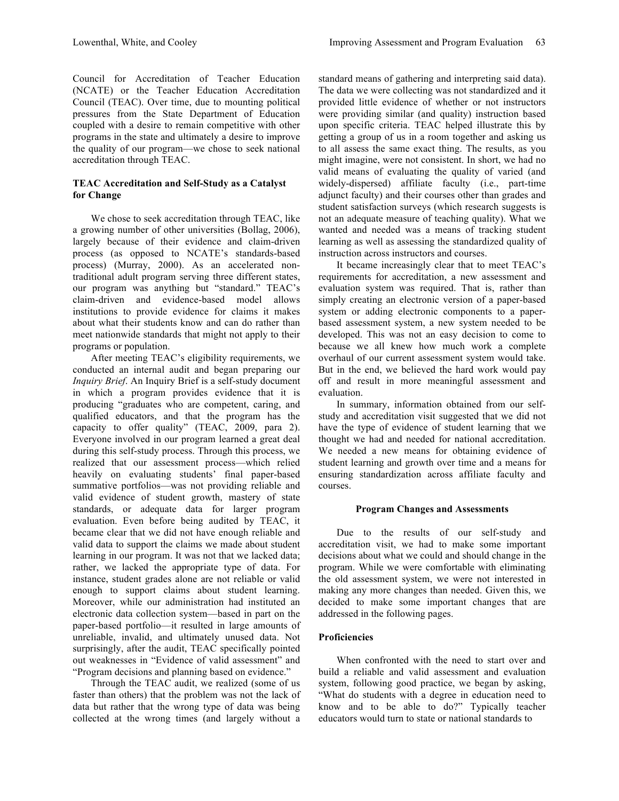Council for Accreditation of Teacher Education (NCATE) or the Teacher Education Accreditation Council (TEAC). Over time, due to mounting political pressures from the State Department of Education coupled with a desire to remain competitive with other programs in the state and ultimately a desire to improve the quality of our program—we chose to seek national accreditation through TEAC.

## **TEAC Accreditation and Self-Study as a Catalyst for Change**

We chose to seek accreditation through TEAC, like a growing number of other universities (Bollag, 2006), largely because of their evidence and claim-driven process (as opposed to NCATE's standards-based process) (Murray, 2000). As an accelerated nontraditional adult program serving three different states, our program was anything but "standard." TEAC's claim-driven and evidence-based model allows institutions to provide evidence for claims it makes about what their students know and can do rather than meet nationwide standards that might not apply to their programs or population.

After meeting TEAC's eligibility requirements, we conducted an internal audit and began preparing our *Inquiry Brief*. An Inquiry Brief is a self-study document in which a program provides evidence that it is producing "graduates who are competent, caring, and qualified educators, and that the program has the capacity to offer quality" (TEAC, 2009, para 2). Everyone involved in our program learned a great deal during this self-study process. Through this process, we realized that our assessment process—which relied heavily on evaluating students' final paper-based summative portfolios—was not providing reliable and valid evidence of student growth, mastery of state standards, or adequate data for larger program evaluation. Even before being audited by TEAC, it became clear that we did not have enough reliable and valid data to support the claims we made about student learning in our program. It was not that we lacked data; rather, we lacked the appropriate type of data. For instance, student grades alone are not reliable or valid enough to support claims about student learning. Moreover, while our administration had instituted an electronic data collection system—based in part on the paper-based portfolio—it resulted in large amounts of unreliable, invalid, and ultimately unused data. Not surprisingly, after the audit, TEAC specifically pointed out weaknesses in "Evidence of valid assessment" and "Program decisions and planning based on evidence."

Through the TEAC audit, we realized (some of us faster than others) that the problem was not the lack of data but rather that the wrong type of data was being collected at the wrong times (and largely without a

standard means of gathering and interpreting said data). The data we were collecting was not standardized and it provided little evidence of whether or not instructors were providing similar (and quality) instruction based upon specific criteria. TEAC helped illustrate this by getting a group of us in a room together and asking us to all assess the same exact thing. The results, as you might imagine, were not consistent. In short, we had no valid means of evaluating the quality of varied (and widely-dispersed) affiliate faculty (i.e., part-time adjunct faculty) and their courses other than grades and student satisfaction surveys (which research suggests is not an adequate measure of teaching quality). What we wanted and needed was a means of tracking student learning as well as assessing the standardized quality of instruction across instructors and courses.

It became increasingly clear that to meet TEAC's requirements for accreditation, a new assessment and evaluation system was required. That is, rather than simply creating an electronic version of a paper-based system or adding electronic components to a paperbased assessment system, a new system needed to be developed. This was not an easy decision to come to because we all knew how much work a complete overhaul of our current assessment system would take. But in the end, we believed the hard work would pay off and result in more meaningful assessment and evaluation.

In summary, information obtained from our selfstudy and accreditation visit suggested that we did not have the type of evidence of student learning that we thought we had and needed for national accreditation. We needed a new means for obtaining evidence of student learning and growth over time and a means for ensuring standardization across affiliate faculty and courses.

#### **Program Changes and Assessments**

Due to the results of our self-study and accreditation visit, we had to make some important decisions about what we could and should change in the program. While we were comfortable with eliminating the old assessment system, we were not interested in making any more changes than needed. Given this, we decided to make some important changes that are addressed in the following pages.

#### **Proficiencies**

When confronted with the need to start over and build a reliable and valid assessment and evaluation system, following good practice, we began by asking, "What do students with a degree in education need to know and to be able to do?" Typically teacher educators would turn to state or national standards to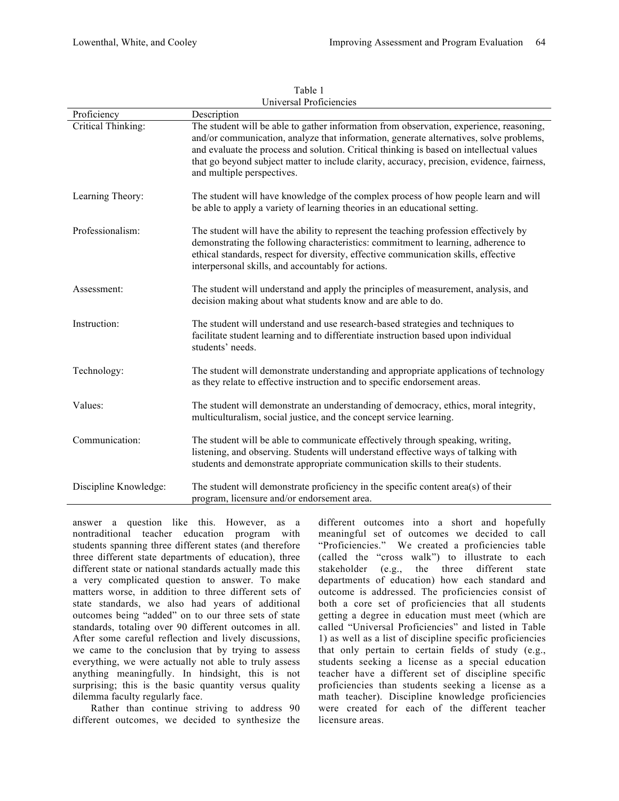| Universal Proficiencies |                                                                                                                                                                                                                                                                                                                                                                                                           |  |
|-------------------------|-----------------------------------------------------------------------------------------------------------------------------------------------------------------------------------------------------------------------------------------------------------------------------------------------------------------------------------------------------------------------------------------------------------|--|
| Proficiency             | Description                                                                                                                                                                                                                                                                                                                                                                                               |  |
| Critical Thinking:      | The student will be able to gather information from observation, experience, reasoning,<br>and/or communication, analyze that information, generate alternatives, solve problems,<br>and evaluate the process and solution. Critical thinking is based on intellectual values<br>that go beyond subject matter to include clarity, accuracy, precision, evidence, fairness,<br>and multiple perspectives. |  |
| Learning Theory:        | The student will have knowledge of the complex process of how people learn and will<br>be able to apply a variety of learning theories in an educational setting.                                                                                                                                                                                                                                         |  |
| Professionalism:        | The student will have the ability to represent the teaching profession effectively by<br>demonstrating the following characteristics: commitment to learning, adherence to<br>ethical standards, respect for diversity, effective communication skills, effective<br>interpersonal skills, and accountably for actions.                                                                                   |  |
| Assessment:             | The student will understand and apply the principles of measurement, analysis, and<br>decision making about what students know and are able to do.                                                                                                                                                                                                                                                        |  |
| Instruction:            | The student will understand and use research-based strategies and techniques to<br>facilitate student learning and to differentiate instruction based upon individual<br>students' needs.                                                                                                                                                                                                                 |  |
| Technology:             | The student will demonstrate understanding and appropriate applications of technology<br>as they relate to effective instruction and to specific endorsement areas.                                                                                                                                                                                                                                       |  |
| Values:                 | The student will demonstrate an understanding of democracy, ethics, moral integrity,<br>multiculturalism, social justice, and the concept service learning.                                                                                                                                                                                                                                               |  |
| Communication:          | The student will be able to communicate effectively through speaking, writing,<br>listening, and observing. Students will understand effective ways of talking with<br>students and demonstrate appropriate communication skills to their students.                                                                                                                                                       |  |
| Discipline Knowledge:   | The student will demonstrate proficiency in the specific content area(s) of their<br>program, licensure and/or endorsement area.                                                                                                                                                                                                                                                                          |  |

| Table 1                        |  |
|--------------------------------|--|
| <b>Jniversal Proficiencies</b> |  |

answer a question like this. However, as a nontraditional teacher education program with students spanning three different states (and therefore three different state departments of education), three different state or national standards actually made this a very complicated question to answer. To make matters worse, in addition to three different sets of state standards, we also had years of additional outcomes being "added" on to our three sets of state standards, totaling over 90 different outcomes in all. After some careful reflection and lively discussions, we came to the conclusion that by trying to assess everything, we were actually not able to truly assess anything meaningfully. In hindsight, this is not surprising; this is the basic quantity versus quality dilemma faculty regularly face.

Rather than continue striving to address 90 different outcomes, we decided to synthesize the different outcomes into a short and hopefully meaningful set of outcomes we decided to call "Proficiencies." We created a proficiencies table (called the "cross walk") to illustrate to each stakeholder (e.g., the three different state departments of education) how each standard and outcome is addressed. The proficiencies consist of both a core set of proficiencies that all students getting a degree in education must meet (which are called "Universal Proficiencies" and listed in Table 1) as well as a list of discipline specific proficiencies that only pertain to certain fields of study (e.g., students seeking a license as a special education teacher have a different set of discipline specific proficiencies than students seeking a license as a math teacher). Discipline knowledge proficiencies were created for each of the different teacher licensure areas.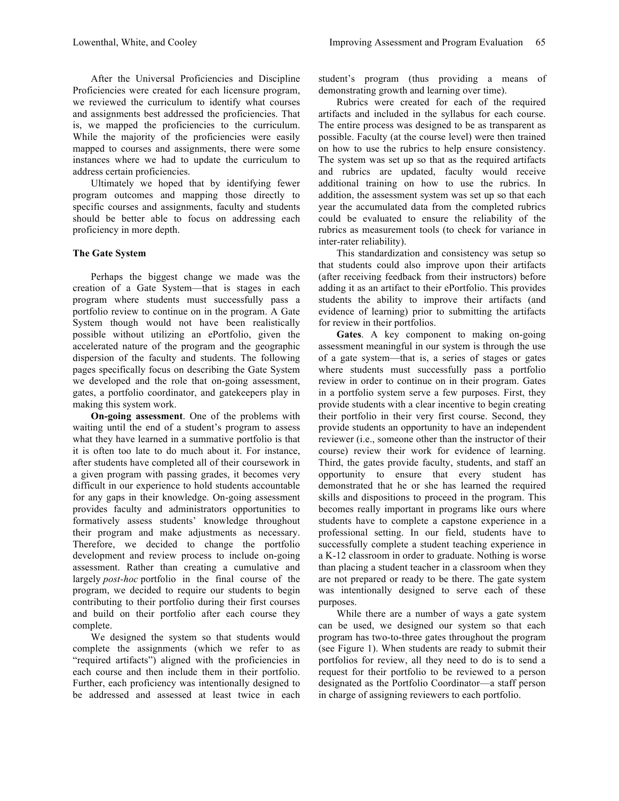After the Universal Proficiencies and Discipline Proficiencies were created for each licensure program, we reviewed the curriculum to identify what courses and assignments best addressed the proficiencies. That is, we mapped the proficiencies to the curriculum. While the majority of the proficiencies were easily mapped to courses and assignments, there were some instances where we had to update the curriculum to address certain proficiencies.

Ultimately we hoped that by identifying fewer program outcomes and mapping those directly to specific courses and assignments, faculty and students should be better able to focus on addressing each proficiency in more depth.

## **The Gate System**

Perhaps the biggest change we made was the creation of a Gate System—that is stages in each program where students must successfully pass a portfolio review to continue on in the program. A Gate System though would not have been realistically possible without utilizing an ePortfolio, given the accelerated nature of the program and the geographic dispersion of the faculty and students. The following pages specifically focus on describing the Gate System we developed and the role that on-going assessment, gates, a portfolio coordinator, and gatekeepers play in making this system work.

**On-going assessment**. One of the problems with waiting until the end of a student's program to assess what they have learned in a summative portfolio is that it is often too late to do much about it. For instance, after students have completed all of their coursework in a given program with passing grades, it becomes very difficult in our experience to hold students accountable for any gaps in their knowledge. On-going assessment provides faculty and administrators opportunities to formatively assess students' knowledge throughout their program and make adjustments as necessary. Therefore, we decided to change the portfolio development and review process to include on-going assessment. Rather than creating a cumulative and largely *post-hoc* portfolio in the final course of the program, we decided to require our students to begin contributing to their portfolio during their first courses and build on their portfolio after each course they complete.

We designed the system so that students would complete the assignments (which we refer to as "required artifacts") aligned with the proficiencies in each course and then include them in their portfolio. Further, each proficiency was intentionally designed to be addressed and assessed at least twice in each

student's program (thus providing a means of demonstrating growth and learning over time).

Rubrics were created for each of the required artifacts and included in the syllabus for each course. The entire process was designed to be as transparent as possible. Faculty (at the course level) were then trained on how to use the rubrics to help ensure consistency. The system was set up so that as the required artifacts and rubrics are updated, faculty would receive additional training on how to use the rubrics. In addition, the assessment system was set up so that each year the accumulated data from the completed rubrics could be evaluated to ensure the reliability of the rubrics as measurement tools (to check for variance in inter-rater reliability).

This standardization and consistency was setup so that students could also improve upon their artifacts (after receiving feedback from their instructors) before adding it as an artifact to their ePortfolio. This provides students the ability to improve their artifacts (and evidence of learning) prior to submitting the artifacts for review in their portfolios.

**Gates**. A key component to making on-going assessment meaningful in our system is through the use of a gate system—that is, a series of stages or gates where students must successfully pass a portfolio review in order to continue on in their program. Gates in a portfolio system serve a few purposes. First, they provide students with a clear incentive to begin creating their portfolio in their very first course. Second, they provide students an opportunity to have an independent reviewer (i.e., someone other than the instructor of their course) review their work for evidence of learning. Third, the gates provide faculty, students, and staff an opportunity to ensure that every student has demonstrated that he or she has learned the required skills and dispositions to proceed in the program. This becomes really important in programs like ours where students have to complete a capstone experience in a professional setting. In our field, students have to successfully complete a student teaching experience in a K-12 classroom in order to graduate. Nothing is worse than placing a student teacher in a classroom when they are not prepared or ready to be there. The gate system was intentionally designed to serve each of these purposes.

While there are a number of ways a gate system can be used, we designed our system so that each program has two-to-three gates throughout the program (see Figure 1). When students are ready to submit their portfolios for review, all they need to do is to send a request for their portfolio to be reviewed to a person designated as the Portfolio Coordinator—a staff person in charge of assigning reviewers to each portfolio.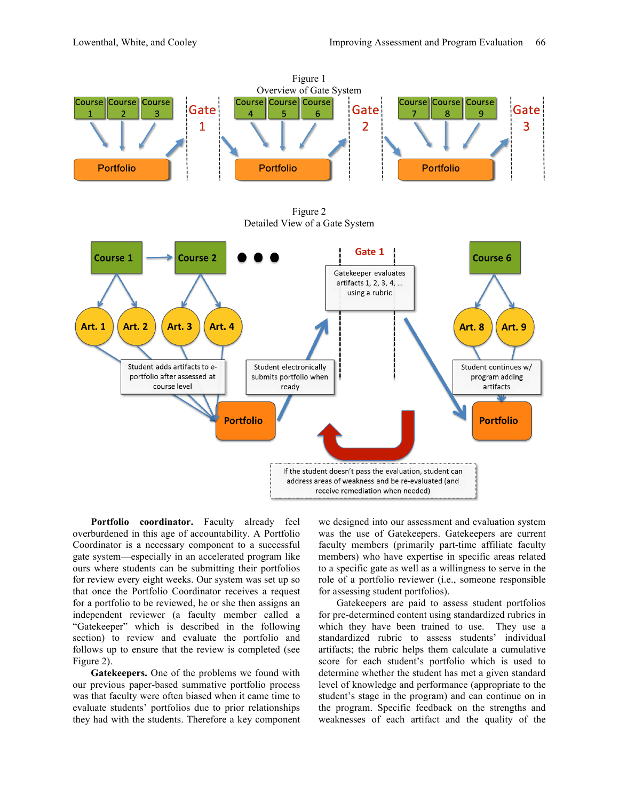

**Portfolio coordinator.** Faculty already feel overburdened in this age of accountability. A Portfolio Coordinator is a necessary component to a successful gate system—especially in an accelerated program like ours where students can be submitting their portfolios for review every eight weeks. Our system was set up so that once the Portfolio Coordinator receives a request for a portfolio to be reviewed, he or she then assigns an independent reviewer (a faculty member called a "Gatekeeper" which is described in the following section) to review and evaluate the portfolio and follows up to ensure that the review is completed (see Figure 2).

**Gatekeepers.** One of the problems we found with our previous paper-based summative portfolio process was that faculty were often biased when it came time to evaluate students' portfolios due to prior relationships they had with the students. Therefore a key component we designed into our assessment and evaluation system was the use of Gatekeepers. Gatekeepers are current faculty members (primarily part-time affiliate faculty members) who have expertise in specific areas related to a specific gate as well as a willingness to serve in the role of a portfolio reviewer (i.e., someone responsible for assessing student portfolios).

Gatekeepers are paid to assess student portfolios for pre-determined content using standardized rubrics in which they have been trained to use. They use a standardized rubric to assess students' individual artifacts; the rubric helps them calculate a cumulative score for each student's portfolio which is used to determine whether the student has met a given standard level of knowledge and performance (appropriate to the student's stage in the program) and can continue on in the program. Specific feedback on the strengths and weaknesses of each artifact and the quality of the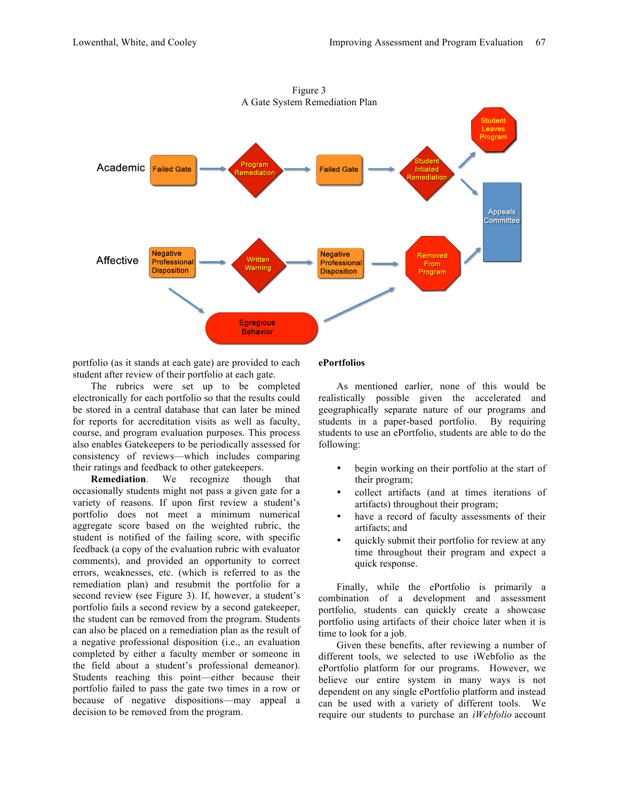

portfolio (as it stands at each gate) are provided to each student after review of their portfolio at each gate.

The rubrics were set up to be completed electronically for each portfolio so that the results could be stored in a central database that can later be mined for reports for accreditation visits as well as faculty, course, and program evaluation purposes. This process also enables Gatekeepers to be periodically assessed for consistency of reviews—which includes comparing their ratings and feedback to other gatekeepers.

**Remediation**. We recognize though that occasionally students might not pass a given gate for a variety of reasons. If upon first review a student's portfolio does not meet a minimum numerical aggregate score based on the weighted rubric, the student is notified of the failing score, with specific feedback (a copy of the evaluation rubric with evaluator comments), and provided an opportunity to correct errors, weaknesses, etc. (which is referred to as the remediation plan) and resubmit the portfolio for a second review (see Figure 3). If, however, a student's portfolio fails a second review by a second gatekeeper, the student can be removed from the program. Students can also be placed on a remediation plan as the result of a negative professional disposition (i.e., an evaluation completed by either a faculty member or someone in the field about a student's professional demeanor). Students reaching this point—either because their portfolio failed to pass the gate two times in a row or because of negative dispositions—may appeal a decision to be removed from the program.

#### **ePortfolios**

As mentioned earlier, none of this would be realistically possible given the accelerated and geographically separate nature of our programs and students in a paper-based portfolio. By requiring students to use an ePortfolio, students are able to do the following:

- begin working on their portfolio at the start of their program;
- collect artifacts (and at times iterations of artifacts) throughout their program;
- have a record of faculty assessments of their artifacts; and
- quickly submit their portfolio for review at any time throughout their program and expect a quick response.

Finally, while the ePortfolio is primarily a combination of a development and assessment portfolio, students can quickly create a showcase portfolio using artifacts of their choice later when it is time to look for a job.

Given these benefits, after reviewing a number of different tools, we selected to use iWebfolio as the ePortfolio platform for our programs. However, we believe our entire system in many ways is not dependent on any single ePortfolio platform and instead can be used with a variety of different tools. We require our students to purchase an *iWebfolio* account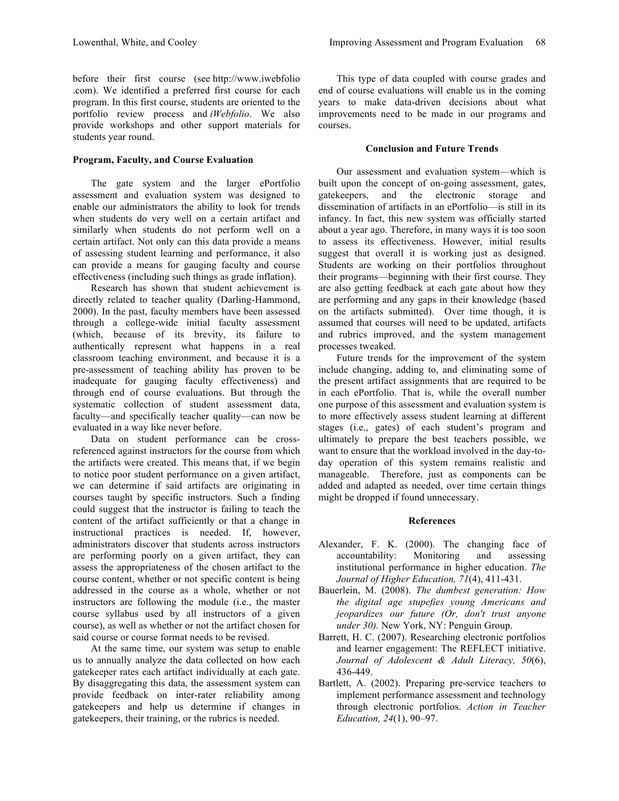before their first course (see http://www.iwebfolio .com). We identified a preferred first course for each program. In this first course, students are oriented to the portfolio review process and *iWebfolio*. We also provide workshops and other support materials for students year round.

### **Program, Faculty, and Course Evaluation**

The gate system and the larger ePortfolio assessment and evaluation system was designed to enable our administrators the ability to look for trends when students do very well on a certain artifact and similarly when students do not perform well on a certain artifact. Not only can this data provide a means of assessing student learning and performance, it also can provide a means for gauging faculty and course effectiveness (including such things as grade inflation).

Research has shown that student achievement is directly related to teacher quality (Darling-Hammond, 2000). In the past, faculty members have been assessed through a college-wide initial faculty assessment (which, because of its brevity, its failure to authentically represent what happens in a real classroom teaching environment, and because it is a pre-assessment of teaching ability has proven to be inadequate for gauging faculty effectiveness) and through end of course evaluations. But through the systematic collection of student assessment data, faculty—and specifically teacher quality—can now be evaluated in a way like never before.

Data on student performance can be crossreferenced against instructors for the course from which the artifacts were created. This means that, if we begin to notice poor student performance on a given artifact, we can determine if said artifacts are originating in courses taught by specific instructors. Such a finding could suggest that the instructor is failing to teach the content of the artifact sufficiently or that a change in instructional practices is needed. If, however, administrators discover that students across instructors are performing poorly on a given artifact, they can assess the appropriateness of the chosen artifact to the course content, whether or not specific content is being addressed in the course as a whole, whether or not instructors are following the module (i.e., the master course syllabus used by all instructors of a given course), as well as whether or not the artifact chosen for said course or course format needs to be revised.

At the same time, our system was setup to enable us to annually analyze the data collected on how each gatekeeper rates each artifact individually at each gate. By disaggregating this data, the assessment system can provide feedback on inter-rater reliability among gatekeepers and help us determine if changes in gatekeepers, their training, or the rubrics is needed.

This type of data coupled with course grades and end of course evaluations will enable us in the coming years to make data-driven decisions about what improvements need to be made in our programs and courses.

## **Conclusion and Future Trends**

Our assessment and evaluation system—which is built upon the concept of on-going assessment, gates, gatekeepers, and the electronic storage and dissemination of artifacts in an ePortfolio—is still in its infancy. In fact, this new system was officially started about a year ago. Therefore, in many ways it is too soon to assess its effectiveness. However, initial results suggest that overall it is working just as designed. Students are working on their portfolios throughout their programs—beginning with their first course. They are also getting feedback at each gate about how they are performing and any gaps in their knowledge (based on the artifacts submitted). Over time though, it is assumed that courses will need to be updated, artifacts and rubrics improved, and the system management processes tweaked.

Future trends for the improvement of the system include changing, adding to, and eliminating some of the present artifact assignments that are required to be in each ePortfolio. That is, while the overall number one purpose of this assessment and evaluation system is to more effectively assess student learning at different stages (i.e., gates) of each student's program and ultimately to prepare the best teachers possible, we want to ensure that the workload involved in the day-today operation of this system remains realistic and manageable. Therefore, just as components can be added and adapted as needed, over time certain things might be dropped if found unnecessary.

# **References**

- Alexander, F. K. (2000). The changing face of accountability: Monitoring and assessing institutional performance in higher education. *The Journal of Higher Education, 71*(4), 411-431.
- Bauerlein, M. (2008). *The dumbest generation: How the digital age stupefies young Americans and jeopardizes our future (Or, don't trust anyone under 30).* New York, NY: Penguin Group.
- Barrett, H. C. (2007). Researching electronic portfolios and learner engagement: The REFLECT initiative. *Journal of Adolescent & Adult Literacy, 50*(6), 436-449.
- Bartlett, A. (2002). Preparing pre-service teachers to implement performance assessment and technology through electronic portfolios. *Action in Teacher Education, 24*(1), 90–97.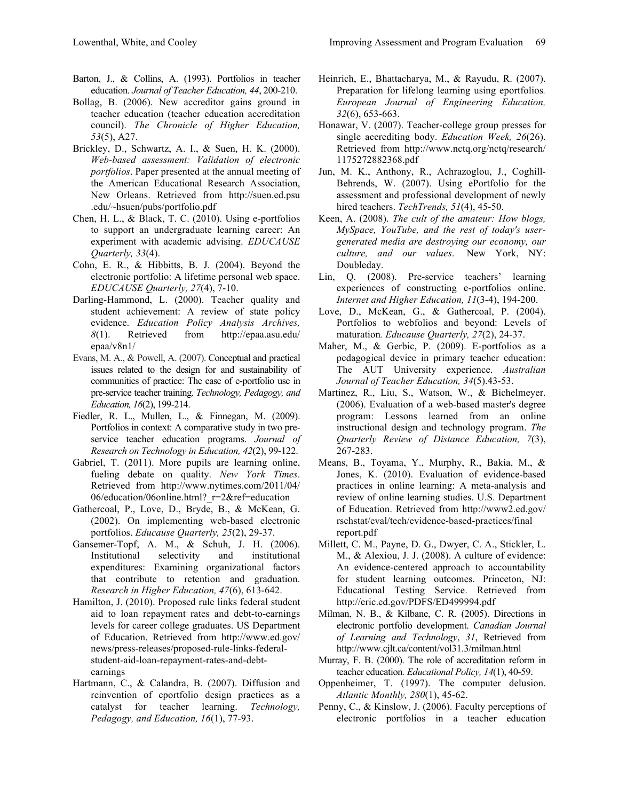- Barton, J., & Collins, A. (1993). Portfolios in teacher education. *Journal of Teacher Education, 44*, 200-210.
- Bollag, B. (2006). New accreditor gains ground in teacher education (teacher education accreditation council). *The Chronicle of Higher Education, 53*(5), A27.
- Brickley, D., Schwartz, A. I., & Suen, H. K. (2000). *Web-based assessment: Validation of electronic portfolios*. Paper presented at the annual meeting of the American Educational Research Association, New Orleans. Retrieved from http://suen.ed.psu .edu/~hsuen/pubs/portfolio.pdf
- Chen, H. L., & Black, T. C. (2010). Using e-portfolios to support an undergraduate learning career: An experiment with academic advising. *EDUCAUSE Quarterly, 33*(4).
- Cohn, E. R., & Hibbitts, B. J. (2004). Beyond the electronic portfolio: A lifetime personal web space. *EDUCAUSE Quarterly, 27*(4), 7-10.
- Darling-Hammond, L. (2000). Teacher quality and student achievement: A review of state policy evidence. *Education Policy Analysis Archives, 8*(1). Retrieved from http://epaa.asu.edu/ epaa/v8n1/
- Evans, M. A., & Powell, A. (2007). Conceptual and practical issues related to the design for and sustainability of communities of practice: The case of e-portfolio use in pre-service teacher training. *Technology, Pedagogy, and Education, 16*(2), 199-214.
- Fiedler, R. L., Mullen, L., & Finnegan, M. (2009). Portfolios in context: A comparative study in two preservice teacher education programs. *Journal of Research on Technology in Education, 42*(2), 99-122.
- Gabriel, T. (2011). More pupils are learning online, fueling debate on quality. *New York Times*. Retrieved from http://www.nytimes.com/2011/04/ 06/education/06online.html? r=2&ref=education
- Gathercoal, P., Love, D., Bryde, B., & McKean, G. (2002). On implementing web-based electronic portfolios. *Educause Quarterly, 25*(2), 29-37.
- Gansemer-Topf, A. M., & Schuh, J. H. (2006). Institutional selectivity and institutional expenditures: Examining organizational factors that contribute to retention and graduation. *Research in Higher Education, 47*(6), 613-642.
- Hamilton, J. (2010). Proposed rule links federal student aid to loan repayment rates and debt-to-earnings levels for career college graduates. US Department of Education. Retrieved from http://www.ed.gov/ news/press-releases/proposed-rule-links-federalstudent-aid-loan-repayment-rates-and-debtearnings
- Hartmann, C., & Calandra, B. (2007). Diffusion and reinvention of eportfolio design practices as a catalyst for teacher learning. *Technology, Pedagogy, and Education, 16*(1), 77-93.
- Heinrich, E., Bhattacharya, M., & Rayudu, R. (2007). Preparation for lifelong learning using eportfolios*. European Journal of Engineering Education, 32*(6), 653-663.
- Honawar, V. (2007). Teacher-college group presses for single accrediting body. *Education Week, 26*(26). Retrieved from http://www.nctq.org/nctq/research/ 1175272882368.pdf
- Jun, M. K., Anthony, R., Achrazoglou, J., Coghill-Behrends, W. (2007). Using ePortfolio for the assessment and professional development of newly hired teachers. *TechTrends*, 51(4), 45-50.
- Keen, A. (2008). *The cult of the amateur: How blogs, MySpace, YouTube, and the rest of today's usergenerated media are destroying our economy, our culture, and our values*. New York, NY: Doubleday.
- Lin, Q. (2008). Pre-service teachers' learning experiences of constructing e-portfolios online. *Internet and Higher Education, 11*(3-4), 194-200.
- Love, D., McKean, G., & Gathercoal, P. (2004). Portfolios to webfolios and beyond: Levels of maturation*. Educause Quarterly, 27*(2), 24-37.
- Maher, M., & Gerbic, P. (2009). E-portfolios as a pedagogical device in primary teacher education: The AUT University experience. *Australian Journal of Teacher Education, 34*(5).43-53.
- Martinez, R., Liu, S., Watson, W., & Bichelmeyer. (2006). Evaluation of a web-based master's degree program: Lessons learned from an online instructional design and technology program. *The Quarterly Review of Distance Education, 7*(3), 267-283.
- Means, B., Toyama, Y., Murphy, R., Bakia, M., & Jones, K. (2010). Evaluation of evidence-based practices in online learning: A meta-analysis and review of online learning studies. U.S. Department of Education. Retrieved from http://www2.ed.gov/ rschstat/eval/tech/evidence-based-practices/final report.pdf
- Millett, C. M., Payne, D. G., Dwyer, C. A., Stickler, L. M., & Alexiou, J. J. (2008). A culture of evidence: An evidence-centered approach to accountability for student learning outcomes. Princeton, NJ: Educational Testing Service. Retrieved from http://eric.ed.gov/PDFS/ED499994.pdf
- Milman, N. B., & Kilbane, C. R. (2005). Directions in electronic portfolio development. *Canadian Journal of Learning and Technology*, *31*, Retrieved from http://www.cjlt.ca/content/vol31.3/milman.html
- Murray, F. B. (2000). The role of accreditation reform in teacher education*. Educational Policy, 14*(1), 40-59.
- Oppenheimer, T. (1997). The computer delusion. *Atlantic Monthly, 280*(1), 45-62.
- Penny, C., & Kinslow, J. (2006). Faculty perceptions of electronic portfolios in a teacher education